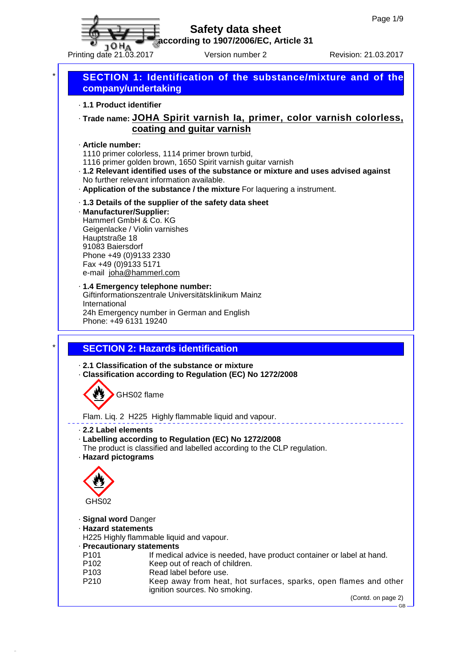

**according to 1907/2006/EC, Article 31**

Printing date 21.03.2017 Version number 2 Revision: 21.03.2017

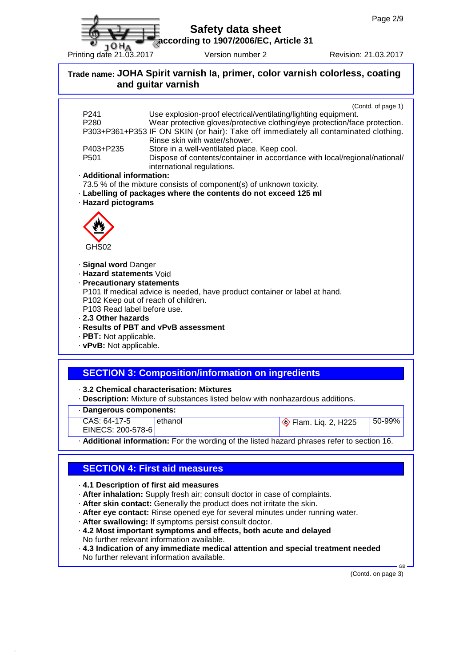**according to 1907/2006/EC, Article 31**

Printing date 21.03.2017 Version number 2 Revision: 21.03.2017

## **Trade name: JOHA Spirit varnish Ia, primer, color varnish colorless, coating and guitar varnish** (Contd. of page 1) P241 Use explosion-proof electrical/ventilating/lighting equipment. P280 Wear protective gloves/protective clothing/eye protection/face protection. P303+P361+P353 IF ON SKIN (or hair): Take off immediately all contaminated clothing. Rinse skin with water/shower. P403+P235 Store in a well-ventilated place. Keep cool. P501 Dispose of contents/container in accordance with local/regional/national/ international regulations. · **Additional information:** 73.5 % of the mixture consists of component(s) of unknown toxicity. · **Labelling of packages where the contents do not exceed 125 ml** · **Hazard pictograms** GHS02 · **Signal word** Danger · **Hazard statements** Void · **Precautionary statements** P101 If medical advice is needed, have product container or label at hand. P102 Keep out of reach of children. P103 Read label before use. · **2.3 Other hazards** · **Results of PBT and vPvB assessment** · **PBT:** Not applicable. · **vPvB:** Not applicable. **SECTION 3: Composition/information on ingredients**

· **3.2 Chemical characterisation: Mixtures**

· **Description:** Mixture of substances listed below with nonhazardous additions.

· **Dangerous components:**

10 HA

CAS: 64-17-5 EINECS: 200-578-6

ethanol **Flam.** Liq. 2, H225 50-99%

· **Additional information:** For the wording of the listed hazard phrases refer to section 16.

## **SECTION 4: First aid measures**

· **4.1 Description of first aid measures**

- · **After inhalation:** Supply fresh air; consult doctor in case of complaints.
- · **After skin contact:** Generally the product does not irritate the skin.
- · **After eye contact:** Rinse opened eye for several minutes under running water.
- · **After swallowing:** If symptoms persist consult doctor.
- · **4.2 Most important symptoms and effects, both acute and delayed** No further relevant information available.

· **4.3 Indication of any immediate medical attention and special treatment needed** No further relevant information available.

(Contd. on page 3)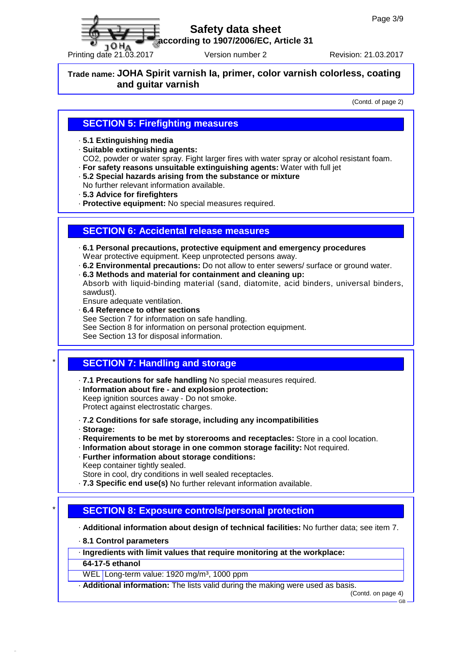

**according to 1907/2006/EC, Article 31**

Printing date 21.03.2017 Version number 2 Revision: 21.03.2017

**Trade name: JOHA Spirit varnish Ia, primer, color varnish colorless, coating and guitar varnish**

(Contd. of page 2)

### **SECTION 5: Firefighting measures**

- · **5.1 Extinguishing media**
- · **Suitable extinguishing agents:**

CO2, powder or water spray. Fight larger fires with water spray or alcohol resistant foam.

- · **For safety reasons unsuitable extinguishing agents:** Water with full jet
- · **5.2 Special hazards arising from the substance or mixture**
- No further relevant information available.
- · **5.3 Advice for firefighters**

· **Protective equipment:** No special measures required.

### **SECTION 6: Accidental release measures**

- · **6.1 Personal precautions, protective equipment and emergency procedures** Wear protective equipment. Keep unprotected persons away.
- · **6.2 Environmental precautions:** Do not allow to enter sewers/ surface or ground water.
- · **6.3 Methods and material for containment and cleaning up:**

Absorb with liquid-binding material (sand, diatomite, acid binders, universal binders, sawdust).

- Ensure adequate ventilation.
- · **6.4 Reference to other sections**
- See Section 7 for information on safe handling.
- See Section 8 for information on personal protection equipment.

See Section 13 for disposal information.

## \* **SECTION 7: Handling and storage**

- · **7.1 Precautions for safe handling** No special measures required.
- · **Information about fire and explosion protection:** Keep ignition sources away - Do not smoke. Protect against electrostatic charges.
- · **7.2 Conditions for safe storage, including any incompatibilities**
- · **Storage:**
- · **Requirements to be met by storerooms and receptacles:** Store in a cool location.
- · **Information about storage in one common storage facility:** Not required.
- · **Further information about storage conditions:** Keep container tightly sealed.
- Store in cool, dry conditions in well sealed receptacles.
- · **7.3 Specific end use(s)** No further relevant information available.

## \* **SECTION 8: Exposure controls/personal protection**

· **Additional information about design of technical facilities:** No further data; see item 7.

- · **8.1 Control parameters**
- · **Ingredients with limit values that require monitoring at the workplace:**
- **64-17-5 ethanol**
- WEL Long-term value: 1920 mg/m<sup>3</sup>, 1000 ppm
- · **Additional information:** The lists valid during the making were used as basis.

(Contd. on page 4) GB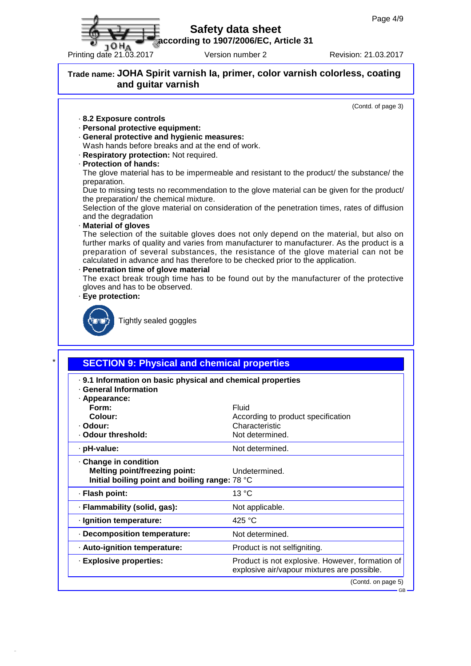**according to 1907/2006/EC, Article 31**

Printing date 21.03.2017 Version number 2 Revision: 21.03.2017

### **Trade name: JOHA Spirit varnish Ia, primer, color varnish colorless, coating and guitar varnish**

(Contd. of page 3)

- · **8.2 Exposure controls**
- · **Personal protective equipment:**
- · **General protective and hygienic measures:**
- Wash hands before breaks and at the end of work.
- · **Respiratory protection:** Not required.
- · **Protection of hands:**

The glove material has to be impermeable and resistant to the product/ the substance/ the preparation.

Due to missing tests no recommendation to the glove material can be given for the product/ the preparation/ the chemical mixture.

Selection of the glove material on consideration of the penetration times, rates of diffusion and the degradation

#### · **Material of gloves**

The selection of the suitable gloves does not only depend on the material, but also on further marks of quality and varies from manufacturer to manufacturer. As the product is a preparation of several substances, the resistance of the glove material can not be calculated in advance and has therefore to be checked prior to the application.

#### · **Penetration time of glove material**

The exact break trough time has to be found out by the manufacturer of the protective gloves and has to be observed.

· **Eye protection:**



Tightly sealed goggles

### \* **SECTION 9: Physical and chemical properties**

- · **9.1 Information on basic physical and chemical properties**
- · **General Information**
- · **Appearance:**

| · Appearance:<br>Form:<br>Colour:<br>· Odour:<br>· Odour threshold:                                           | Fluid<br>According to product specification<br>Characteristic<br>Not determined.               |
|---------------------------------------------------------------------------------------------------------------|------------------------------------------------------------------------------------------------|
| · pH-value:                                                                                                   | Not determined.                                                                                |
| Change in condition<br><b>Melting point/freezing point:</b><br>Initial boiling point and boiling range: 78 °C | Undetermined.                                                                                  |
| · Flash point:                                                                                                | 13 °C                                                                                          |
| · Flammability (solid, gas):                                                                                  | Not applicable.                                                                                |
| · Ignition temperature:                                                                                       | 425 $^{\circ}$ C                                                                               |
| Decomposition temperature:                                                                                    | Not determined.                                                                                |
| - Auto-ignition temperature:                                                                                  | Product is not selfigniting.                                                                   |
| · Explosive properties:                                                                                       | Product is not explosive. However, formation of<br>explosive air/vapour mixtures are possible. |
|                                                                                                               | (Contd. on page 5)<br>$ CD$ $-$                                                                |

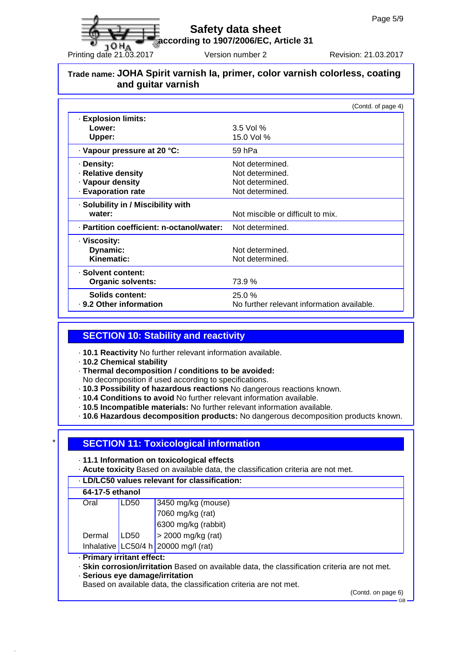**according to 1907/2006/EC, Article 31**

**JOHA** Printing date 21.03.2017 Version number 2 Revision: 21.03.2017

## **Trade name: JOHA Spirit varnish Ia, primer, color varnish colorless, coating and guitar varnish**

|                                           | (Contd. of page 4)                         |
|-------------------------------------------|--------------------------------------------|
| <b>Explosion limits:</b>                  |                                            |
| Lower:                                    | $3.5$ Vol %                                |
| Upper:                                    | 15.0 Vol %                                 |
| · Vapour pressure at 20 °C:               | 59 hPa                                     |
| · Density:                                | Not determined.                            |
| · Relative density                        | Not determined.                            |
| · Vapour density                          | Not determined.                            |
| - Evaporation rate                        | Not determined.                            |
| · Solubility in / Miscibility with        |                                            |
| water:                                    | Not miscible or difficult to mix.          |
| · Partition coefficient: n-octanol/water: | Not determined.                            |
| · Viscosity:                              |                                            |
| Dynamic:                                  | Not determined.                            |
| Kinematic:                                | Not determined.                            |
| - Solvent content:                        |                                            |
| <b>Organic solvents:</b>                  | 73.9 %                                     |
| Solids content:                           | 25.0%                                      |
| . 9.2 Other information                   | No further relevant information available. |

### **SECTION 10: Stability and reactivity**

- · **10.1 Reactivity** No further relevant information available.
- · **10.2 Chemical stability**
- · **Thermal decomposition / conditions to be avoided:**
- No decomposition if used according to specifications. · **10.3 Possibility of hazardous reactions** No dangerous reactions known.
- · **10.4 Conditions to avoid** No further relevant information available.
- · **10.5 Incompatible materials:** No further relevant information available.
- · **10.6 Hazardous decomposition products:** No dangerous decomposition products known.

## \* **SECTION 11: Toxicological information**

- · **11.1 Information on toxicological effects**
- · **Acute toxicity** Based on available data, the classification criteria are not met.

#### · **LD/LC50 values relevant for classification:**

| 64-17-5 ethanol                 |                  |                                                                                               |  |  |
|---------------------------------|------------------|-----------------------------------------------------------------------------------------------|--|--|
| Oral                            | LD <sub>50</sub> | 3450 mg/kg (mouse)                                                                            |  |  |
|                                 |                  | 7060 mg/kg (rat)                                                                              |  |  |
|                                 |                  | 6300 mg/kg (rabbit)                                                                           |  |  |
| Dermal                          | LD50             | $>$ 2000 mg/kg (rat)                                                                          |  |  |
|                                 |                  | Inhalative   LC50/4 h   20000 mg/l (rat)                                                      |  |  |
| · Primary irritant effect:      |                  |                                                                                               |  |  |
|                                 |                  | · Skin corrosion/irritation Based on available data, the classification criteria are not met. |  |  |
| · Serious eye damage/irritation |                  |                                                                                               |  |  |

Based on available data, the classification criteria are not met.

(Contd. on page 6)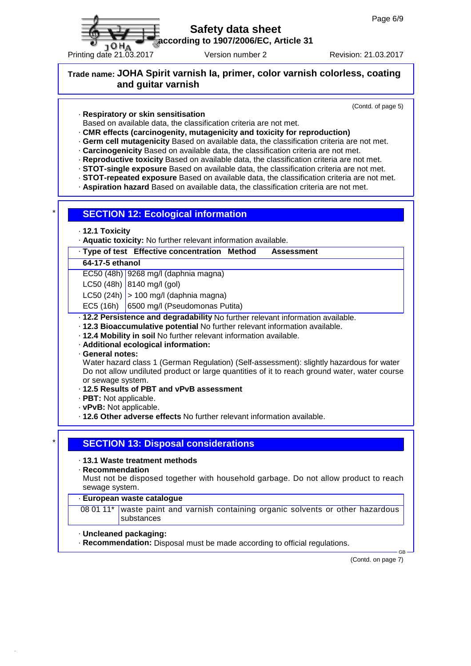

**according to 1907/2006/EC, Article 31**

Printing date 21.03.2017 Version number 2 Revision: 21.03.2017

## **Trade name: JOHA Spirit varnish Ia, primer, color varnish colorless, coating and guitar varnish**

(Contd. of page 5)

· **Respiratory or skin sensitisation**

Based on available data, the classification criteria are not met.

- · **CMR effects (carcinogenity, mutagenicity and toxicity for reproduction)**
- · **Germ cell mutagenicity** Based on available data, the classification criteria are not met.
- · **Carcinogenicity** Based on available data, the classification criteria are not met.
- · **Reproductive toxicity** Based on available data, the classification criteria are not met.
- · **STOT-single exposure** Based on available data, the classification criteria are not met.
- · **STOT-repeated exposure** Based on available data, the classification criteria are not met.
- · **Aspiration hazard** Based on available data, the classification criteria are not met.

#### **SECTION 12: Ecological information**

· **12.1 Toxicity**

· **Aquatic toxicity:** No further relevant information available.

· **Type of test Effective concentration Method Assessment**

#### **64-17-5 ethanol**

EC50 (48h) 9268 mg/l (daphnia magna)

 $LC50$  (48h) 8140 mg/l (gol)

LC50 (24h)  $> 100$  mg/l (daphnia magna)

EC5 (16h) 6500 mg/l (Pseudomonas Putita)

· **12.2 Persistence and degradability** No further relevant information available.

- · **12.3 Bioaccumulative potential** No further relevant information available.
- · **12.4 Mobility in soil** No further relevant information available.
- · **Additional ecological information:**

· **General notes:**

Water hazard class 1 (German Regulation) (Self-assessment): slightly hazardous for water Do not allow undiluted product or large quantities of it to reach ground water, water course or sewage system.

#### · **12.5 Results of PBT and vPvB assessment**

- · **PBT:** Not applicable.
- · **vPvB:** Not applicable.
- · **12.6 Other adverse effects** No further relevant information available.

#### \* **SECTION 13: Disposal considerations**

- · **13.1 Waste treatment methods**
- · **Recommendation**

Must not be disposed together with household garbage. Do not allow product to reach sewage system.

#### · **European waste catalogue**

08 01 11\* waste paint and varnish containing organic solvents or other hazardous substances

- · **Uncleaned packaging:**
- · **Recommendation:** Disposal must be made according to official regulations.

(Contd. on page 7)

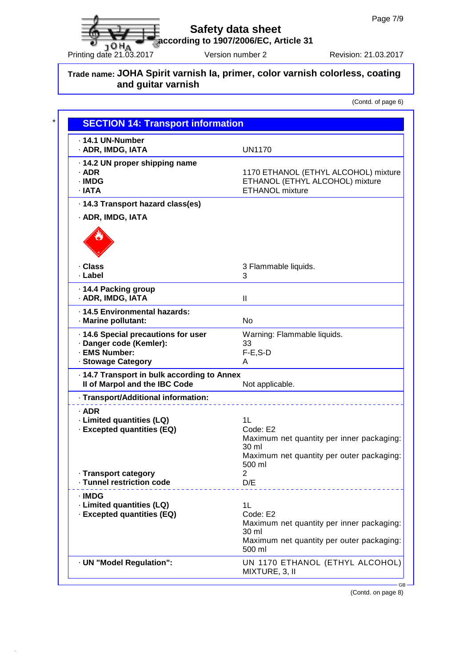**according to 1907/2006/EC, Article 31**  $\sigma$  10 H<sub>A</sub> according to 1907/2000/EC, Article 31<br>Printing date 21.03.2017 Version number 2 Revision: 21.03.2017

## **Trade name: JOHA Spirit varnish Ia, primer, color varnish colorless, coating and guitar varnish**

(Contd. of page 6)

| <b>SECTION 14: Transport information</b>                                                              |                                                                                                                             |
|-------------------------------------------------------------------------------------------------------|-----------------------------------------------------------------------------------------------------------------------------|
| $\cdot$ 14.1 UN-Number<br>· ADR, IMDG, IATA                                                           | <b>UN1170</b>                                                                                                               |
| · 14.2 UN proper shipping name<br>· ADR<br>· IMDG<br>· IATA                                           | 1170 ETHANOL (ETHYL ALCOHOL) mixture<br>ETHANOL (ETHYL ALCOHOL) mixture<br><b>ETHANOL mixture</b>                           |
| · 14.3 Transport hazard class(es)                                                                     |                                                                                                                             |
| · ADR, IMDG, IATA                                                                                     |                                                                                                                             |
|                                                                                                       |                                                                                                                             |
| · Class<br>· Label                                                                                    | 3 Flammable liquids.<br>3                                                                                                   |
| 14.4 Packing group<br>· ADR, IMDG, IATA                                                               | Ш                                                                                                                           |
| · 14.5 Environmental hazards:<br>· Marine pollutant:                                                  | No                                                                                                                          |
| · 14.6 Special precautions for user<br>· Danger code (Kemler):<br>· EMS Number:<br>· Stowage Category | Warning: Flammable liquids.<br>33<br>$F-E$ , S-D<br>A                                                                       |
| · 14.7 Transport in bulk according to Annex<br>II of Marpol and the IBC Code                          | Not applicable.                                                                                                             |
| · Transport/Additional information:                                                                   |                                                                                                                             |
| $·$ ADR<br>· Limited quantities (LQ)<br>· Excepted quantities (EQ)                                    | 1L<br>Code: E2<br>Maximum net quantity per inner packaging:<br>30 ml<br>Maximum net quantity per outer packaging:<br>500 ml |
| · Transport category<br>· Tunnel restriction code                                                     | $\overline{2}$<br>D/E                                                                                                       |
| · IMDG<br>· Limited quantities (LQ)<br>· Excepted quantities (EQ)                                     | 1L<br>Code: E2<br>Maximum net quantity per inner packaging:<br>30 ml<br>Maximum net quantity per outer packaging:<br>500 ml |
| · UN "Model Regulation":                                                                              | UN 1170 ETHANOL (ETHYL ALCOHOL)<br>MIXTURE, 3, II                                                                           |

(Contd. on page 8)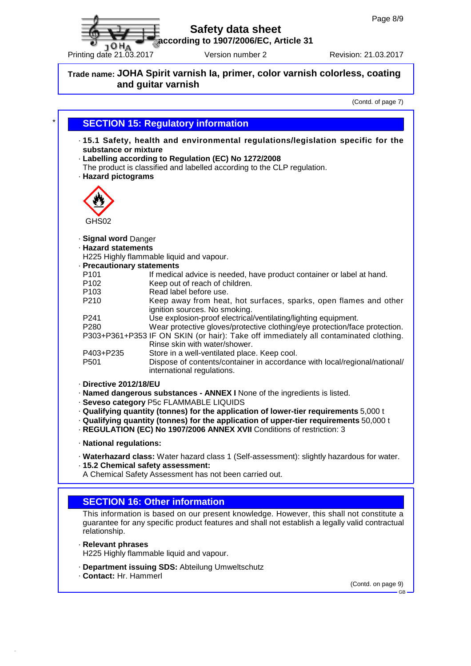**according to 1907/2006/EC, Article 31**  $P$ TO H<sub>A</sub> according to 1907/2000/EC, Article 31<br>Printing date 21.03.2017 Version number 2 Revision: 21.03.2017

## **Trade name: JOHA Spirit varnish Ia, primer, color varnish colorless, coating and guitar varnish**

(Contd. of page 7)

| $\star$                    | <b>SECTION 15: Regulatory information</b>                                                                                                                                                                                                                         |  |  |
|----------------------------|-------------------------------------------------------------------------------------------------------------------------------------------------------------------------------------------------------------------------------------------------------------------|--|--|
|                            | 15.1 Safety, health and environmental regulations/legislation specific for the<br>substance or mixture<br>· Labelling according to Regulation (EC) No 1272/2008<br>The product is classified and labelled according to the CLP regulation.<br>· Hazard pictograms |  |  |
| GHS02                      |                                                                                                                                                                                                                                                                   |  |  |
| · Signal word Danger       |                                                                                                                                                                                                                                                                   |  |  |
| <b>· Hazard statements</b> |                                                                                                                                                                                                                                                                   |  |  |
|                            | H225 Highly flammable liquid and vapour.                                                                                                                                                                                                                          |  |  |
| · Precautionary statements |                                                                                                                                                                                                                                                                   |  |  |
| P <sub>101</sub>           | If medical advice is needed, have product container or label at hand.                                                                                                                                                                                             |  |  |
| P <sub>102</sub>           | Keep out of reach of children.                                                                                                                                                                                                                                    |  |  |
| P <sub>103</sub>           | Read label before use.                                                                                                                                                                                                                                            |  |  |
| P210                       | Keep away from heat, hot surfaces, sparks, open flames and other<br>ignition sources. No smoking.                                                                                                                                                                 |  |  |
| P241                       | Use explosion-proof electrical/ventilating/lighting equipment.                                                                                                                                                                                                    |  |  |
| P280                       | Wear protective gloves/protective clothing/eye protection/face protection.<br>P303+P361+P353 IF ON SKIN (or hair): Take off immediately all contaminated clothing.<br>Rinse skin with water/shower.                                                               |  |  |
| P403+P235                  | Store in a well-ventilated place. Keep cool.                                                                                                                                                                                                                      |  |  |
| P501                       | Dispose of contents/container in accordance with local/regional/national/<br>international regulations.                                                                                                                                                           |  |  |
| · Directive 2012/18/EU     |                                                                                                                                                                                                                                                                   |  |  |
|                            | · Named dangerous substances - ANNEX I None of the ingredients is listed.<br>· Seveso category P5c FLAMMABLE LIQUIDS                                                                                                                                              |  |  |
|                            | - Qualifying quantity (tonnes) for the application of lower-tier requirements 5,000 t<br>$\cdot$ Qualifying quantity (tonnes) for the application of upper-tier requirements 50,000 t<br>- REGULATION (EC) No 1907/2006 ANNEX XVII Conditions of restriction: 3   |  |  |
| · National regulations:    |                                                                                                                                                                                                                                                                   |  |  |
|                            | · Waterhazard class: Water hazard class 1 (Self-assessment): slightly hazardous for water.<br>· 15.2 Chemical safety assessment:<br>A Chemical Safety Assessment has not been carried out.                                                                        |  |  |
|                            |                                                                                                                                                                                                                                                                   |  |  |
|                            | <b>SECTION 16: Other information</b>                                                                                                                                                                                                                              |  |  |
|                            | This information is based on our present knowledge. However, this shall not constitute a                                                                                                                                                                          |  |  |
| relationship.              | guarantee for any specific product features and shall not establish a legally valid contractual                                                                                                                                                                   |  |  |

· **Relevant phrases**

H225 Highly flammable liquid and vapour.

- · **Department issuing SDS:** Abteilung Umweltschutz
- · **Contact:** Hr. Hammerl

(Contd. on page 9) GB